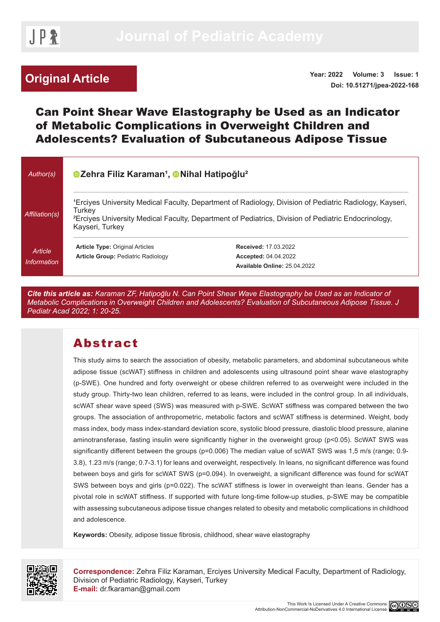# **Original Article**

**Doi: 10.51271/jpea-2022-168 Year: 2022 Volume: 3 Issue: 1**

# Can Point Shear Wave Elastography be Used as an Indicator of Metabolic Complications in Overweight Children and Adolescents? Evaluation of Subcutaneous Adipose Tissue

| Author(s)                            | <b>OZehra Filiz Karaman<sup>1</sup>, ONihal Hatipoğlu<sup>2</sup></b>                                                                                                                                                                                               |                                                                                                   |  |  |  |  |
|--------------------------------------|---------------------------------------------------------------------------------------------------------------------------------------------------------------------------------------------------------------------------------------------------------------------|---------------------------------------------------------------------------------------------------|--|--|--|--|
| Affiliation(s)                       | <sup>1</sup> Erciyes University Medical Faculty, Department of Radiology, Division of Pediatric Radiology, Kayseri,<br>Turkev<br><sup>2</sup> Erciyes University Medical Faculty, Department of Pediatrics, Division of Pediatric Endocrinology,<br>Kayseri, Turkey |                                                                                                   |  |  |  |  |
| Article<br><i><b>Information</b></i> | <b>Article Type: Original Articles</b><br><b>Article Group: Pediatric Radiology</b>                                                                                                                                                                                 | <b>Received: 17.03.2022</b><br><b>Accepted: 04.04.2022</b><br><b>Available Online: 25.04.2022</b> |  |  |  |  |

*Cite this article as: Karaman ZF, Hatipoğlu N. Can Point Shear Wave Elastography be Used as an Indicator of Metabolic Complications in Overweight Children and Adolescents? Evaluation of Subcutaneous Adipose Tissue. J Pediatr Acad 2022; 1: 20-25.*

# Abstract

This study aims to search the association of obesity, metabolic parameters, and abdominal subcutaneous white adipose tissue (scWAT) stiffness in children and adolescents using ultrasound point shear wave elastography (p-SWE). One hundred and forty overweight or obese children referred to as overweight were included in the study group. Thirty-two lean children, referred to as leans, were included in the control group. In all individuals, scWAT shear wave speed (SWS) was measured with p-SWE. ScWAT stiffness was compared between the two groups. The association of anthropometric, metabolic factors and scWAT stiffness is determined. Weight, body mass index, body mass index-standard deviation score, systolic blood pressure, diastolic blood pressure, alanine aminotransferase, fasting insulin were significantly higher in the overweight group (p<0.05). ScWAT SWS was significantly different between the groups (p=0.006) The median value of scWAT SWS was 1,5 m/s (range; 0.9-3.8), 1.23 m/s (range; 0.7-3.1) for leans and overweight, respectively. In leans, no significant difference was found between boys and girls for scWAT SWS (p=0.094). In overweight, a significant difference was found for scWAT SWS between boys and girls (p=0.022). The scWAT stiffness is lower in overweight than leans. Gender has a pivotal role in scWAT stiffness. If supported with future long-time follow-up studies, p-SWE may be compatible with assessing subcutaneous adipose tissue changes related to obesity and metabolic complications in childhood and adolescence.

**Keywords:** Obesity, adipose tissue fibrosis, childhood, shear wave elastography



**Correspondence:** Zehra Filiz Karaman, Erciyes University Medical Faculty, Department of Radiology, Division of Pediatric Radiology, Kayseri, Turkey **E-mail:** [dr.fkaraman@gmail.com](mailto:dr.fkaraman@gmail.com)

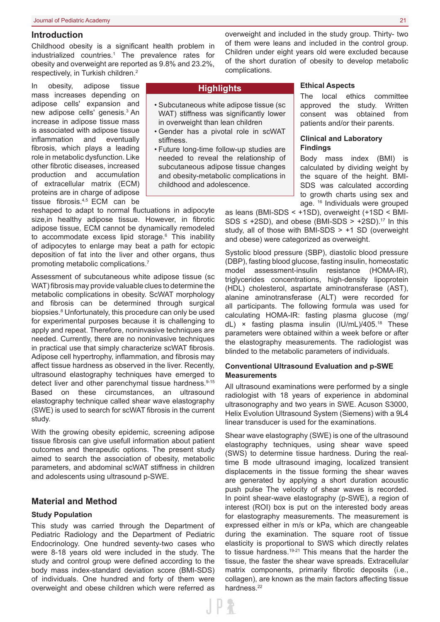### **Introduction**

Childhood obesity is a significant health problem in industrialized countries.<sup>1</sup> The prevalence rates for obesity and overweight are reported as 9.8% and 23.2%, respectively, in Turkish children.2

In obesity, adipose tissue mass increases depending on adipose cells' expansion and new adipose cells' genesis.<sup>3</sup> An increase in adipose tissue mass is associated with adipose tissue inflammation and eventually fibrosis, which plays a leading role in metabolic dysfunction. Like other fibrotic diseases, increased production and accumulation of extracellular matrix (ECM) proteins are in charge of adipose tissue fibrosis.4,5 ECM can be

reshaped to adapt to normal fluctuations in adipocyte size,in healthy adipose tissue. However, in fibrotic adipose tissue, ECM cannot be dynamically remodeled to accommodate excess lipid storage.6 This inability of adipocytes to enlarge may beat a path for ectopic deposition of fat into the liver and other organs, thus promoting metabolic complications.<sup>7</sup>

Assessment of subcutaneous white adipose tissue (sc WAT) fibrosis may provide valuable clues to determine the metabolic complications in obesity. ScWAT morphology and fibrosis can be determined through surgical biopsies.8 Unfortunately, this procedure can only be used for experimental purposes because it is challenging to apply and repeat. Therefore, noninvasive techniques are needed. Currently, there are no noninvasive techniques in practical use that simply characterize scWAT fibrosis. Adipose cell hypertrophy, inflammation, and fibrosis may affect tissue hardness as observed in the liver. Recently, ultrasound elastography techniques have emerged to detect liver and other parenchymal tissue hardness.<sup>9-15</sup> Based on these circumstances, an ultrasound elastography technique called shear wave elastography (SWE) is used to search for scWAT fibrosis in the current study.

With the growing obesity epidemic, screening adipose tissue fibrosis can give usefull information about patient outcomes and therapeutic options. The present study aimed to search the association of obesity, metabolic parameters, and abdominal scWAT stiffness in children and adolescents using ultrasound p-SWE.

# **Material and Method**

# **Study Population**

This study was carried through the Department of Pediatric Radiology and the Department of Pediatric Endocrinology. One hundred seventy-two cases who were 8-18 years old were included in the study. The study and control group were defined according to the body mass index-standard deviation score (BMI-SDS) of individuals. One hundred and forty of them were overweight and obese children which were referred as

overweight and included in the study group. Thirty- two of them were leans and included in the control group. Children under eight years old were excluded because of the short duration of obesity to develop metabolic complications.

# **Highlights**

- Subcutaneous white adipose tissue (sc WAT) stiffness was significantly lower in overweight than lean children
- Gender has a pivotal role in scWAT stiffness.
- Future long-time follow-up studies are needed to reveal the relationship of subcutaneous adipose tissue changes and obesity-metabolic complications in childhood and adolescence.

**Ethical Aspects**

The local ethics committee approved the study. Written consent was obtained from patients and/or their parents.

# **Clinical and Laboratory Findings**

Body mass index (BMI) is calculated by dividing weight by the square of the height. BMI-SDS was calculated according to growth charts using sex and age. <sup>16</sup> Individuals were grouped

as leans (BMI-SDS < +1SD), overweight (+1SD < BMI-SDS  $\le$  +2SD), and obese (BMI-SDS > +2SD).<sup>17</sup> In this study, all of those with BMI-SDS > +1 SD (overweight and obese) were categorized as overweight.

Systolic blood pressure (SBP), diastolic blood pressure (DBP), fasting blood glucose, fasting insulin, homeostatic model assessment-insulin resistance (HOMA-IR), triglycerides concentrations, high-density lipoprotein (HDL) cholesterol, aspartate aminotransferase (AST), alanine aminotransferase (ALT) were recorded for all participants. The following formula was used for calculating HOMA-IR: fasting plasma glucose (mg/ dL) × fasting plasma insulin (IU/mL)/405.18 These parameters were obtained within a week before or after the elastography measurements. The radiologist was blinded to the metabolic parameters of individuals.

# **Conventional Ultrasound Evaluation and p-SWE Measurements**

All ultrasound examinations were performed by a single radiologist with 18 years of experience in abdominal ultrasonography and two years in SWE. Acuson S3000, Helix Evolution Ultrasound System (Siemens) with a 9L4 linear transducer is used for the examinations.

Shear wave elastography (SWE) is one of the ultrasound elastography techniques, using shear wave speed (SWS) to determine tissue hardness. During the realtime B mode ultrasound imaging, localized transient displacements in the tissue forming the shear waves are generated by applying a short duration acoustic push pulse The velocity of shear waves is recorded. In point shear-wave elastography (p-SWE), a region of interest (ROI) box is put on the interested body areas for elastography measurements. The measurement is expressed either in m/s or kPa, which are changeable during the examination. The square root of tissue elasticity is proportional to SWS which directly relates to tissue hardness.<sup>19-21</sup> This means that the harder the tissue, the faster the shear wave spreads. Extracellular matrix components, primarily fibrotic deposits (i.e., collagen), are known as the main factors affecting tissue hardness<sup>22</sup>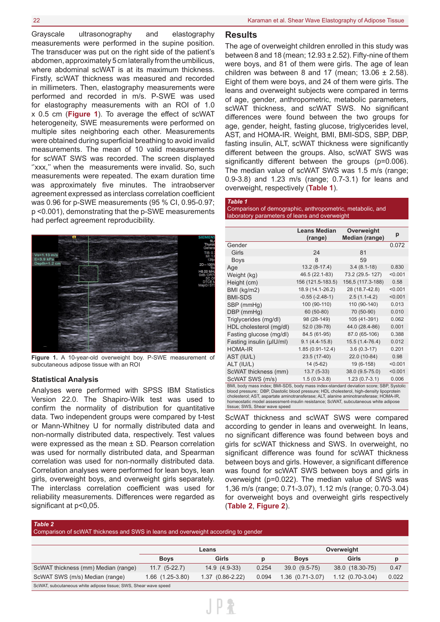Grayscale ultrasonography and elastography measurements were performed in the supine position. The transducer was put on the right side of the patient's abdomen, approximately 5 cm laterally from the umbilicus, where abdominal scWAT is at its maximum thickness. Firstly, scWAT thickness was measured and recorded in millimeters. Then, elastography measurements were performed and recorded in m/s. P-SWE was used for elastography measurements with an ROI of 1.0 x 0.5 cm (**Figure 1**). To average the effect of scWAT heterogeneity, SWE measurements were performed on multiple sites neighboring each other. Measurements were obtained during superficial breathing to avoid invalid measurements. The mean of 10 valid measurements for scWAT SWS was recorded. The screen displayed "xxx," when the measurements were invalid. So, such measurements were repeated. The exam duration time was approximately five minutes. The intraobserver agreement expressed as interclass correlation coefficient was 0.96 for p-SWE measurements (95 % CI, 0.95-0.97; p ˂0.001), demonstrating that the p-SWE measurements had perfect agreement reproducibility.



**Figure 1.** A 10-year-old overweight boy. P-SWE measurement of subcutaneous adipose tissue with an ROI

### **Statistical Analysis**

Analyses were performed with SPSS IBM Statistics Version 22.0. The Shapiro-Wilk test was used to confirm the normality of distribution for quantitative data. Two independent groups were compared by t-test or Mann-Whitney U for normally distributed data and non-normally distributed data, respectively. Test values were expressed as the mean ± SD. Pearson correlation was used for normally distributed data, and Spearman correlation was used for non-normally distributed data. Correlation analyses were performed for lean boys, lean girls, overweight boys, and overweight girls separately. The interclass correlation coefficient was used for reliability measurements. Differences were regarded as significant at  $p<0.05$ .

# **Results**

The age of overweight children enrolled in this study was between 8 and 18 (mean;  $12.93 \pm 2.52$ ). Fifty-nine of them were boys, and 81 of them were girls. The age of lean children was between 8 and 17 (mean;  $13.06 \pm 2.58$ ). Eight of them were boys, and 24 of them were girls. The leans and overweight subjects were compared in terms of age, gender, anthropometric, metabolic parameters, scWAT thickness, and scWAT SWS. No significant differences were found between the two groups for age, gender, height, fasting glucose, triglycerides level, AST, and HOMA-IR. Weight, BMI, BMI-SDS, SBP, DBP, fasting insulin, ALT, scWAT thickness were significantly different between the groups. Also, scWAT SWS was significantly different between the groups (p=0.006). The median value of scWAT SWS was 1.5 m/s (range; 0.9-3.8) and 1.23 m/s (range; 0.7-3.1) for leans and overweight, respectively (**Table 1**).

### *Table 1*

Comparison of demographic, anthropometric, metabolic, and laboratory parameters of leans and overweight

|                                                                                                                                                                                                                                                                                                                                                                                                    | <b>Leans Median</b><br>(range) | Overweight<br>Median (range) | p       |  |  |
|----------------------------------------------------------------------------------------------------------------------------------------------------------------------------------------------------------------------------------------------------------------------------------------------------------------------------------------------------------------------------------------------------|--------------------------------|------------------------------|---------|--|--|
| Gender                                                                                                                                                                                                                                                                                                                                                                                             |                                |                              | 0.072   |  |  |
| Girls                                                                                                                                                                                                                                                                                                                                                                                              | 24                             | 81                           |         |  |  |
| Boys                                                                                                                                                                                                                                                                                                                                                                                               | 8                              | 59                           |         |  |  |
| Age                                                                                                                                                                                                                                                                                                                                                                                                | $13.2(8-17.4)$                 | $3.4(8.1-18)$                | 0.830   |  |  |
| Weight (kg)                                                                                                                                                                                                                                                                                                                                                                                        | 46.5 (22.1-83)                 | 73.2 (29.5-127)              | < 0.001 |  |  |
| Height (cm)                                                                                                                                                                                                                                                                                                                                                                                        | 156 (121.5-183.5)              | 156,5 (117.3-188)            | 0.58    |  |  |
| BMI (kg/m2)                                                                                                                                                                                                                                                                                                                                                                                        | 18.9 (14.1-26.2)               | 28 (18.7-42.8)               | < 0.001 |  |  |
| <b>BMI-SDS</b>                                                                                                                                                                                                                                                                                                                                                                                     | $-0.55(-2.48-1)$               | $2.5(1.1-4.2)$               | < 0.001 |  |  |
| SBP (mmHg)                                                                                                                                                                                                                                                                                                                                                                                         | 100 (90-110)                   | 110 (90-140)                 | 0.013   |  |  |
| DBP (mmHg)                                                                                                                                                                                                                                                                                                                                                                                         | 60 (50-80)                     | 70 (50-90)                   | 0.010   |  |  |
| Triglycerides (mg/dl)                                                                                                                                                                                                                                                                                                                                                                              | 98 (28-149)                    | 105 (41-391)                 | 0.062   |  |  |
| HDL cholesterol (mg/dl)                                                                                                                                                                                                                                                                                                                                                                            | 52.0 (39-78)                   | 44.0 (28.4-86)               | 0.001   |  |  |
| Fasting glucose (mg/dl)                                                                                                                                                                                                                                                                                                                                                                            | 84.5 (61-95)                   | 87.0 (65-106)                | 0.388   |  |  |
| Fasting insulin (µIU/ml)                                                                                                                                                                                                                                                                                                                                                                           | $9.1(4.4 - 15.8)$              | 15.5 (1.4-76.4)              | 0.012   |  |  |
| <b>HOMA-IR</b>                                                                                                                                                                                                                                                                                                                                                                                     | $1.85(0.91 - 12.4)$            | $3.6(0.3-17)$                | 0.201   |  |  |
| AST (IU/L)                                                                                                                                                                                                                                                                                                                                                                                         | 23.5 (17-40)                   | 22.0 (10-84)                 | 0.98    |  |  |
| ALT (IU/L)                                                                                                                                                                                                                                                                                                                                                                                         | 14 (5-62)                      | 19 (6-158)                   | < 0.001 |  |  |
| ScWAT thickness (mm)                                                                                                                                                                                                                                                                                                                                                                               | $13.7(5-33)$                   | 38.0 (9.5-75.0)              | < 0.001 |  |  |
| ScWAT SWS (m/s)                                                                                                                                                                                                                                                                                                                                                                                    | $1.5(0.9-3.8)$                 | $1.23(0.7-3.1)$              | 0.006   |  |  |
| BMI, body mass index; BMI-SDS, body mass index-standard deviation score; SBP, Systolic<br>blood pressure; DBP, Diastolic blood pressure; HDL cholesterol, high-density lipoprotein<br>cholesterol; AST, aspartate aminotransferase; ALT, alanine aminotransferase; HOMA-IR,<br>homeostatic model assessment-insulin resistance; ScWAT, subcutaneous white adipose<br>tissue: SWS. Shear wave speed |                                |                              |         |  |  |

ScWAT thickness and scWAT SWS were compared according to gender in leans and overweight. In leans, no significant difference was found between boys and girls for scWAT thickness and SWS. In overweight, no significant difference was found for scWAT thickness between boys and girls. However, a significant difference was found for scWAT SWS between boys and girls in overweight (p=0.022). The median value of SWS was 1,36 m/s (range; 0.71-3.07), 1.12 m/s (range; 0.70-3.04) for overweight boys and overweight girls respectively (**Table 2**, **[Figure 2](#page-3-0)**).

#### *Table 2*

Comparison of scWAT thickness and SWS in leans and overweight according to gender

|                                                                 | Leans             |                   | Overweight |                   |                   |       |
|-----------------------------------------------------------------|-------------------|-------------------|------------|-------------------|-------------------|-------|
|                                                                 | <b>Boys</b>       | Girls             |            | <b>Boys</b>       | Girls             |       |
| ScWAT thickness (mm) Median (range)                             | $11.7$ $(5-22.7)$ | 14.9 (4.9-33)     | 0.254      | $39.0(9.5-75)$    | 38.0 (18.30-75)   | 0.47  |
| ScWAT SWS (m/s) Median (range)                                  | 1.66 (1.25-3.80)  | $1.37(0.86-2.22)$ | 0.094      | $1.36(0.71-3.07)$ | $1.12(0.70-3.04)$ | 0.022 |
| ScWAT, subcutaneous white adipose tissue; SWS, Shear wave speed |                   |                   |            |                   |                   |       |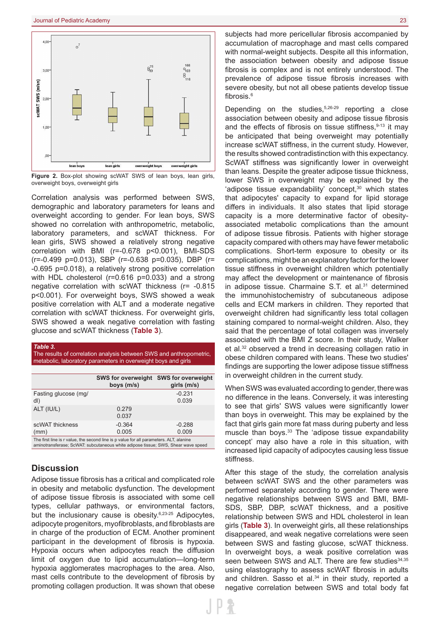<span id="page-3-0"></span>

**Figure 2.** Box-plot showing scWAT SWS of lean boys, lean girls, overweight boys, overweight girls

Correlation analysis was performed between SWS, demographic and laboratory parameters for leans and overweight according to gender. For lean boys, SWS showed no correlation with anthropometric, metabolic, laboratory parameters, and scWAT thickness. For lean girls, SWS showed a relatively strong negative correlation with BMI (r=-0.678 p<0.001), BMI-SDS (r=-0.499 p=0.013), SBP (r=-0.638 p=0.035), DBP (r= -0.695 p=0.018), a relatively strong positive correlation with HDL cholesterol (r=0.616 p=0.033) and a strong negative correlation with scWAT thickness (r= -0.815 p<0.001). For overweight boys, SWS showed a weak positive correlation with ALT and a moderate negative correlation with scWAT thickness. For overweight girls, SWS showed a weak negative correlation with fasting glucose and scWAT thickness (**Table 3**).

#### *Table 3.*

The results of correlation analysis between SWS and anthropometric, metabolic, laboratory parameters in overweight boys and girls

|                                                                                        | <b>SWS for overweight</b><br>boys (m/s) | <b>SWS for overweight</b><br>$girls$ (m/s) |  |  |  |
|----------------------------------------------------------------------------------------|-----------------------------------------|--------------------------------------------|--|--|--|
| Fasting glucose (mg/<br>dl)                                                            |                                         | $-0.231$<br>0.039                          |  |  |  |
| ALT (IU/L)                                                                             | 0.279<br>0.037                          |                                            |  |  |  |
| scWAT thickness<br>(mm)                                                                | $-0.364$<br>0.005                       | $-0.288$<br>0.009                          |  |  |  |
| The first line is r value, the second line is p value for all parameters. ALT, alanine |                                         |                                            |  |  |  |

aminotransferase; ScWAT: subcutaneous white adipose tissue; SWS, Shear wave speed

# **Discussion**

Adipose tissue fibrosis has a critical and complicated role in obesity and metabolic dysfunction. The development of adipose tissue fibrosis is associated with some cell types, cellular pathways, or environmental factors, but the inclusionary cause is obesity.<sup>6,23-25</sup> Adipocytes, adipocyte progenitors, myofibroblasts, and fibroblasts are in charge of the production of ECM. Another prominent participant in the development of fibrosis is hypoxia. Hypoxia occurs when adipocytes reach the diffusion limit of oxygen due to lipid accumulation—long-term hypoxia agglomerates macrophages to the area. Also, mast cells contribute to the development of fibrosis by promoting collagen production. It was shown that obese

subjects had more pericellular fibrosis accompanied by accumulation of macrophage and mast cells compared with normal-weight subjects. Despite all this information, the association between obesity and adipose tissue fibrosis is complex and is not entirely understood. The prevalence of adipose tissue fibrosis increases with severe obesity, but not all obese patients develop tissue fibrosis.6

Depending on the studies, $5,26-29$  reporting a close association between obesity and adipose tissue fibrosis and the effects of fibrosis on tissue stiffness, $9-13$  it may be anticipated that being overweight may potentially increase scWAT stiffness, in the current study. However, the results showed contradistinction with this expectancy. ScWAT stiffness was significantly lower in overweight than leans. Despite the greater adipose tissue thickness, lower SWS in overweight may be explained by the 'adipose tissue expandability' concept,<sup>30</sup> which states that adipocytes' capacity to expand for lipid storage differs in individuals. It also states that lipid storage capacity is a more determinative factor of obesityassociated metabolic complications than the amount of adipose tissue fibrosis. Patients with higher storage capacity compared with others may have fewer metabolic complications. Short-term exposure to obesity or its complications, might be an explanatory factor for the lower tissue stiffness in overweight children which potentially may affect the development or maintenance of fibrosis in adipose tissue. Charmaine S.T. et al.<sup>31</sup> determined the immunohistochemistry of subcutaneous adipose cells and ECM markers in children. They reported that overweight children had significantly less total collagen staining compared to normal-weight children. Also, they said that the percentage of total collagen was inversely associated with the BMI Z score. In their study, Walker et al.32 observed a trend in decreasing collagen ratio in obese children compared with leans. These two studies' findings are supporting the lower adipose tissue stiffness in overweight children in the current study.

When SWS was evaluated according to gender, there was no difference in the leans. Conversely, it was interesting to see that girls' SWS values were significantly lower than boys in overweight. This may be explained by the fact that girls gain more fat mass during puberty and less muscle than boys.33 The 'adipose tissue expandability concept' may also have a role in this situation, with increased lipid capacity of adipocytes causing less tissue stiffness.

After this stage of the study, the correlation analysis between scWAT SWS and the other parameters was performed separately according to gender. There were negative relationships between SWS and BMI, BMI-SDS, SBP, DBP, scWAT thickness, and a positive relationship between SWS and HDL cholesterol in lean girls (**Table 3**). In overweight girls, all these relationships disappeared, and weak negative correlations were seen between SWS and fasting glucose, scWAT thickness. In overweight boys, a weak positive correlation was seen between SWS and ALT. There are few studies<sup>34,35</sup> using elastography to assess scWAT fibrosis in adults and children. Sasso et al.<sup>34</sup> in their study, reported a negative correlation between SWS and total body fat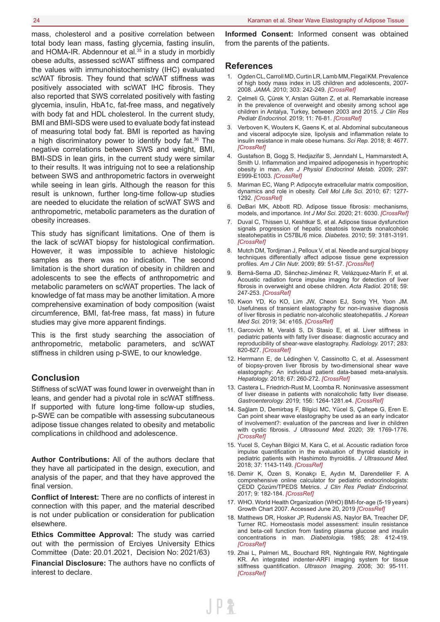mass, cholesterol and a positive correlation between total body lean mass, fasting glycemia, fasting insulin, and HOMA-IR. Abdennour et al.<sup>35</sup> in a study in morbidly obese adults, assessed scWAT stiffness and compared the values with immunohistochemistry (IHC) evaluated scWAT fibrosis. They found that scWAT stiffness was positively associated with scWAT IHC fibrosis. They also reported that SWS correlated positively with fasting glycemia, insulin, HbA1c, fat-free mass, and negatively with body fat and HDL cholesterol. In the current study, BMI and BMI-SDS were used to evaluate body fat instead of measuring total body fat. BMI is reported as having a high discriminatory power to identify body fat.36 The negative correlations between SWS and weight, BMI, BMI-SDS in lean girls, in the current study were similar to their results. It was intriguing not to see a relationship between SWS and anthropometric factors in overweight while seeing in lean girls. Although the reason for this result is unknown, further long-time follow-up studies are needed to elucidate the relation of scWAT SWS and anthropometric, metabolic parameters as the duration of obesity increases.

This study has significant limitations. One of them is the lack of scWAT biopsy for histological confirmation. However, it was impossible to achieve histologic samples as there was no indication. The second limitation is the short duration of obesity in children and adolescents to see the effects of anthropometric and metabolic parameters on scWAT properties. The lack of knowledge of fat mass may be another limitation. A more comprehensive examination of body composition (waist circumference, BMI, fat-free mass, fat mass) in future studies may give more apparent findings.

This is the first study searching the association of anthropometric, metabolic parameters, and scWAT stiffness in children using p-SWE, to our knowledge.

# **Conclusion**

Stiffness of scWAT was found lower in overweight than in leans, and gender had a pivotal role in scWAT stiffness. If supported with future long-time follow-up studies, p-SWE can be compatible with assessing subcutaneous adipose tissue changes related to obesity and metabolic complications in childhood and adolescence.

**Author Contributions:** All of the authors declare that they have all participated in the design, execution, and analysis of the paper, and that they have approved the final version.

**Conflict of Interest:** There are no conflicts of interest in connection with this paper, and the material described is not under publication or consideration for publication elsewhere.

**Ethics Committee Approval:** The study was carried out with the permission of Erciyes University Ethics Committee (Date: 20.01.2021, Decision No: 2021/63)

**Financial Disclosure:** The authors have no conflicts of interest to declare.

.IP 2

**Informed Consent:** Informed consent was obtained from the parents of the patients.

# **References**

- 1. Ogden CL, Carroll MD, Curtin LR, Lamb MM, Flegal KM. Prevalence of high body mass index in US children and adolescents, 2007- 2008. *JAMA.* 2010; 303: 242-249. *[\[CrossRef\]](https://doi.org/10.1001/jama.2009.2012)*
- 2. Çelmeli G, Çürek Y, Arslan Gülten Z, et al. Remarkable increase in the prevalence of overweight and obesity among school age children in Antalya, Turkey, between 2003 and 2015. *J Clin Res Pediatr Endocrinol.* 2019; 11: 76-81. *[\[CrossRef\]](https://doi.org/10.4274/jcrpe.galenos.2018.2018.0108)*
- 3. Verboven K, Wouters K, Gaens K, et al. Abdominal subcutaneous and visceral adipocyte size, lipolysis and inflammation relate to insulin resistance in male obese humans. *Sci Rep.* 2018; 8: 4677. *[\[CrossRef\]](https://doi.org/10.1038/s41598-018-22962-x)*
- 4. Gustafson B, Gogg S, Hedjazifar S, Jenndahl L, Hammarstedt A, Smith U. Inflammation and impaired adipogenesis in hypertrophic obesity in man. *Am J Physiol Endocrinol Metab.* 2009; 297: E999-E1003. *[\[CrossRef\]](https://doi.org/10.1152/ajpendo.00377.2009)*
- 5. Mariman EC, Wang P. Adipocyte extracellular matrix composition, dynamics and role in obesity. *Cell Mol Life Sci.* 2010; 67: 1277- 1292. *[\[CrossRef\]](https://doi.org/10.1007/s00018-010-0263-4)*
- 6. DeBari MK, Abbott RD. Adipose tissue fibrosis: mechanisms, models, and importance. *Int J Mol Sci.* 2020; 21: 6030. *[\[CrossRef\]](https://doi.org/10.3390/ijms21176030)*
- 7. Duval C, Thissen U, Keshtkar S, et al. Adipose tissue dysfunction signals progression of hepatic steatosis towards nonalcoholic steatohepatitis in C57BL/6 mice. *Diabetes.* 2010; 59: 3181-3191. *[\[CrossRef\]](https://doi.org/10.2337/db10-0224)*
- 8. Mutch DM, Tordjman J, Pelloux V, et al. Needle and surgical biopsy techniques differentially affect adipose tissue gene expression profiles. *Am J Clin Nutr.* 2009; 89: 51-57. *[\[CrossRef\]](https://doi.org/10.3945/ajcn.2008.26802)*
- 9. Berná-Serna JD, Sánchez-Jiménez R, Velázquez-Marín F, et al. Acoustic radiation force impulse imaging for detection of liver fibrosis in overweight and obese children. *Acta Radiol.* 2018; 59: 247-253. *[\[CrossRef\]](https://doi.org/10.1177/0284185117707359 )*
- 10. Kwon YD, Ko KO, Lim JW, Cheon EJ, Song YH, Yoon JM. Usefulness of transient elastography for non-invasive diagnosis of liver fibrosis in pediatric non-alcoholic steatohepatitis. *J Korean Med Sci.* 2019; 34: e165. *[\[CrossRef\]](https://doi.org/10.3346/jkms.2019.34.e165 )*
- 11. Garcovich M, Veraldi S, Di Stasio E, et al. Liver stiffness in pediatric patients with fatty liver disease: diagnostic accuracy and reproducibility of shear-wave elastography. *Radiology.* 2017; 283: 820-827. *[\[CrossRef\]](https://doi.org/10.1148/radiol.2016161002)*
- 12. Herrmann E, de Lédinghen V, Cassinotto C, et al. Assessment of biopsy-proven liver fibrosis by two-dimensional shear wave elastography: An individual patient data-based meta-analysis. *Hepatology.* 2018; 67: 260-272. *[\[CrossRef\]](https://doi.org/10.1002/hep.29179)*
- 13. Castera L, Friedrich-Rust M, Loomba R. Noninvasive assessment of liver disease in patients with nonalcoholic fatty liver disease. *Gastroenterology.* 2019; 156: 1264-1281.e4. *[\[CrossRef\]](https://doi.org/10.1053/j.gastro.2018.12.036)*
- 14. Sağlam D, Demirbaş F, Bilgici MC, Yücel S, Çaltepe G, Eren E. Can point shear wave elastography be used as an early indicator of involvement?: evaluation of the pancreas and liver in children with cystic fibrosis. *J Ultrasound Med.* 2020; 39: 1769-1776. *[\[CrossRef\]](https://doi.org/10.1002/jum.15281)*
- 15. Yucel S, Ceyhan Bilgici M, Kara C, et al. Acoustic radiation force impulse quantification in the evaluation of thyroid elasticity in pediatric patients with Hashimoto thyroiditis. *J Ultrasound Med.*  2018; 37: 1143-1149. *[\[CrossRef\]](https://doi.org/10.1002/jum.14459)*
- 16. Demir K, Özen S, Konakçı E, Aydın M, Darendeliler F. A comprehensive online calculator for pediatric endocrinologists: ÇEDD Çözüm/TPEDS Metrics. *J Clin Res Pediatr Endocrinol.*  2017; 9: 182-184. *[\[CrossRef\]](https://doi.org/10.4274/jcrpe.4526)*
- 17. WHO. World Health Organization (WHO) BMI-for-age (5-19 years) Growth Chart 2007. Accessed June 20, 2019 *[\[CrossRef\]](https://doi.org/https://www.who.int/growthref/who2007_bmi_for_age/en)*
- 18. Matthews DR, Hosker JP, Rudenski AS, Naylor BA, Treacher DF, Turner RC. Homeostasis model assessment: insulin resistance and beta-cell function from fasting plasma glucose and insulin concentrations in man. *Diabetologia.* 1985; 28: 412-419. *[\[CrossRef\]](https://doi.org/10.1007/BF00280883)*
- 19. Zhai L, Palmeri ML, Bouchard RR, Nightingale RW, Nightingale KR. An integrated indenter-ARFI imaging system for tissue stiffness quantification. *Ultrason Imaging.* 2008; 30: 95-111. *[\[CrossRef\]](https://doi.org/10.1177/016173460803000203)*